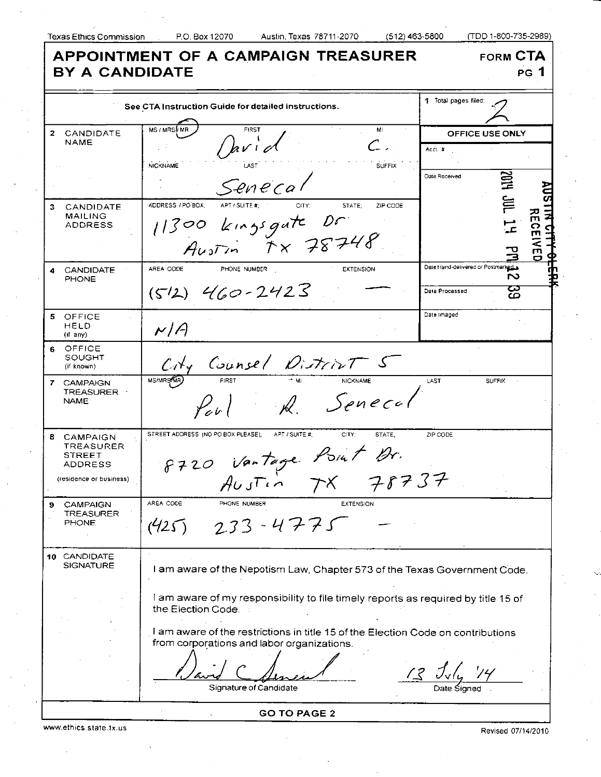| <b>APPOINTMENT OF A CAMPAIGN TREASURER</b><br><b>FORM CTA</b><br><b>BY A CANDIDATE</b><br><b>PG</b> 1 |                                                                                                                                                          |                                                     |                      |                                   |  |
|-------------------------------------------------------------------------------------------------------|----------------------------------------------------------------------------------------------------------------------------------------------------------|-----------------------------------------------------|----------------------|-----------------------------------|--|
| See CTA Instruction Guide for detailed instructions.                                                  |                                                                                                                                                          | 1 Total pages filed:                                |                      |                                   |  |
| $\mathbf{2}$<br>CANDIDATE<br><b>NAME</b>                                                              | <b>MS/MRSMMR</b><br>MI<br>hvid<br>$\mathcal{L}$ .<br><b>NICKNAME</b><br><b>SUFFIX</b><br>Senecal                                                         | Acct. #<br>Date Received                            | OFFICE USE ONLY<br>覓 |                                   |  |
| 3<br><b>CANDIDATE</b><br><b>MAILING</b><br>ADDRESS                                                    | ADDRESS / PO BOX:<br>CITY:<br>STATE:<br>ZIP CODE<br>APT / SUITE #:<br>11300 kingsgate Dr<br>Austin TX 78748                                              |                                                     | <b>JIL</b>           | 쥬<br>က<br>m<br>$\bar{\mathbf{z}}$ |  |
| <b>CANDIDATE</b><br>4<br><b>PHONE</b>                                                                 | AREA CODE<br>PHONE NUMBER<br><b>EXTENSION</b><br>$(512)$ 460-2423                                                                                        | Date Hand-delivered or Postmarked<br>Date Processed | S<br>ယ<br>ഥ          |                                   |  |
| 5<br>OFFICE<br>HELD<br>(if any)                                                                       | N/A                                                                                                                                                      | Date Imaged                                         |                      |                                   |  |
| OFFICE<br>6.<br>SOUGHT<br>(if known)                                                                  | City Counsel District 5                                                                                                                                  |                                                     |                      |                                   |  |
| 7 CAMPAIGN<br><b>TREASURER</b><br><b>NAME</b>                                                         | MS/MRS/MR)<br><b>FIRST</b><br><b>NICKNAME</b><br>R. Senecal<br>$\mathcal{L}_{e^{i\prime}}$                                                               | LAST                                                | <b>SUFFIX</b>        |                                   |  |
| <b>8 CAMPAIGN</b><br><b>TREASURER</b><br>STREET<br>ADDRESS<br>(residence or business)                 | STREET ADDRESS (NO PO BOX PLEASE).<br>APT / SUITE #:<br>CITY:<br>STATE.<br>8720 Vantage Point Dr.<br>アメヌゴチ<br>$A\cup J\Gamma\cap\Gamma$<br>$\alpha$      | ZIP CODE                                            |                      |                                   |  |
| CAMPAIGN<br>TREASURER<br><b>PHONE</b>                                                                 | AREA CODE<br>PHONE NUMBER<br><b>EXTENSION</b><br>$233 - 4775$<br>1425                                                                                    |                                                     |                      |                                   |  |
| 10 CANDIDATE<br><b>SIGNATURE</b>                                                                      | I am aware of the Nepotism Law, Chapter 573 of the Texas Government Code.                                                                                |                                                     |                      |                                   |  |
|                                                                                                       | I am aware of my responsibility to file timely reports as required by title 15 of<br>the Election Code.                                                  |                                                     |                      |                                   |  |
|                                                                                                       | I am aware of the restrictions in title 15 of the Election Code on contributions<br>from corporations and labor organizations.<br>Signature of Candidate |                                                     |                      |                                   |  |
|                                                                                                       | <b>GO TO PAGE 2</b>                                                                                                                                      |                                                     |                      |                                   |  |

www.ethics.state.tx.us Revised 07/14/2010